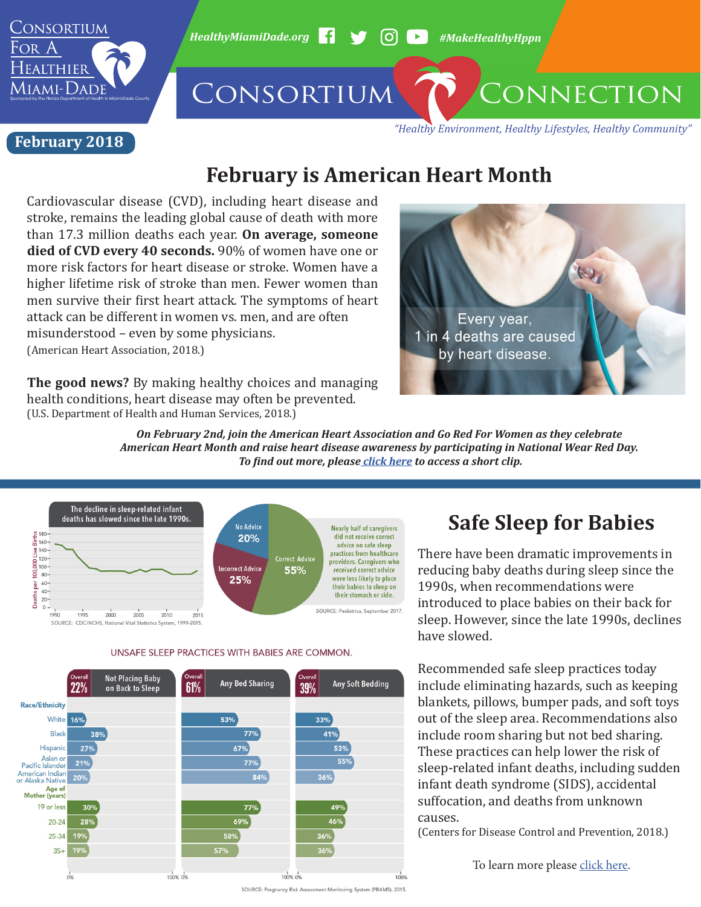

*HealthyMiamiDade.org* <sup>1</sup> → 60 → #MakeHealthyHppn

# CONSORTIUM CONNECTION

**February 2018** 

*"Healthy Environment, Healthy Lifestyles, Healthy Community"*

## **February is American Heart Month**

Cardiovascular disease (CVD), including heart disease and stroke, remains the leading global cause of death with more than 17.3 million deaths each year. **On average, someone died of CVD every 40 seconds.** 90% of women have one or more risk factors for heart disease or stroke. Women have a higher lifetime risk of stroke than men. Fewer women than men survive their first heart attack. The symptoms of heart attack can be different in women vs. men, and are often misunderstood – even by some physicians.

(American Heart Association, 2018.)

**The good news?** By making healthy choices and managing health conditions, heart disease may often be prevented. (U.S. Department of Health and Human Services, 2018.)



*On February 2nd, join the American Heart Association and Go Red For Women as they celebrate American Heart Month and raise heart disease awareness by participating in National Wear Red Day. To find out more, please [click here](https://www.goredforwomen.org/get-involved/national-wear-red-day/what-it-means-to-go-red-for-women/) to access a short clip.* 



UNSAFE SLEEP PRACTICES WITH BABIES ARE COMMON.



## **Safe Sleep for Babies**

There have been dramatic improvements in reducing baby deaths during sleep since the 1990s, when recommendations were introduced to place babies on their back for sleep. However, since the late 1990s, declines have slowed.

Recommended safe sleep practices today include eliminating hazards, such as keeping blankets, pillows, bumper pads, and soft toys out of the sleep area. Recommendations also include room sharing but not bed sharing. These practices can help lower the risk of sleep-related infant deaths, including sudden infant death syndrome (SIDS), accidental suffocation, and deaths from unknown causes.

(Centers for Disease Control and Prevention, 2018.)

To learn more please [click here](https://www.cdc.gov/vitalsigns/safesleep/index.html).

SOURCE: Pregnancy Risk Assessment Monitoring System (PRAMS), 2015.